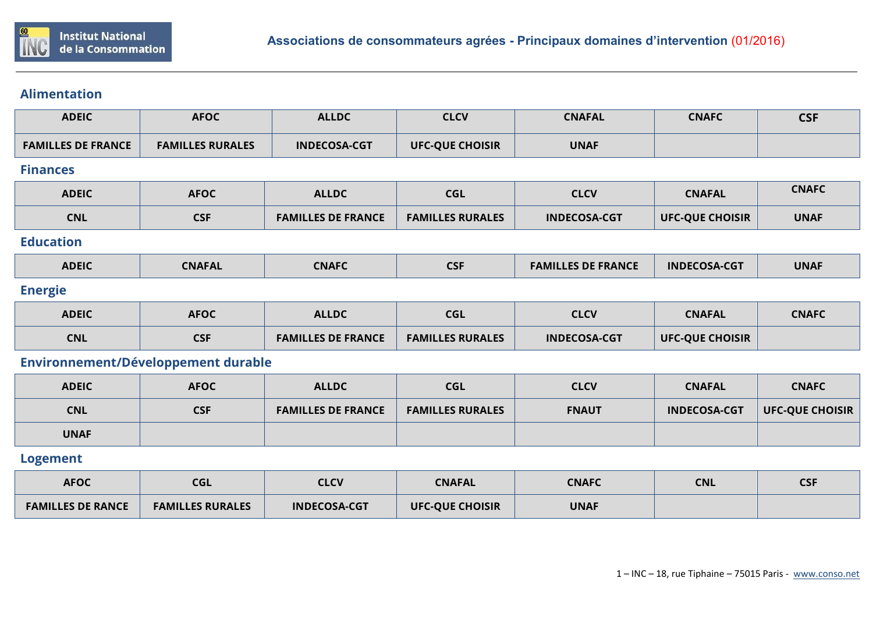

## **Alimentation**

| <b>ADEIC</b>                        | <b>AFOC</b>             | <b>ALLDC</b>              | <b>CLCV</b>             | <b>CNAFAL</b>             | <b>CNAFC</b>           | <b>CSF</b>             |  |
|-------------------------------------|-------------------------|---------------------------|-------------------------|---------------------------|------------------------|------------------------|--|
| <b>FAMILLES DE FRANCE</b>           | <b>FAMILLES RURALES</b> | <b>INDECOSA-CGT</b>       | <b>UFC-QUE CHOISIR</b>  | <b>UNAF</b>               |                        |                        |  |
| <b>Finances</b>                     |                         |                           |                         |                           |                        |                        |  |
| <b>ADEIC</b>                        | <b>AFOC</b>             | <b>ALLDC</b>              | <b>CGL</b>              | <b>CLCV</b>               | <b>CNAFAL</b>          | <b>CNAFC</b>           |  |
| <b>CNL</b>                          | <b>CSF</b>              | <b>FAMILLES DE FRANCE</b> | <b>FAMILLES RURALES</b> | <b>INDECOSA-CGT</b>       | <b>UFC-QUE CHOISIR</b> | <b>UNAF</b>            |  |
| <b>Education</b>                    |                         |                           |                         |                           |                        |                        |  |
| <b>ADEIC</b>                        | <b>CNAFAL</b>           | <b>CNAFC</b>              | <b>CSF</b>              | <b>FAMILLES DE FRANCE</b> | <b>INDECOSA-CGT</b>    | <b>UNAF</b>            |  |
| <b>Energie</b>                      |                         |                           |                         |                           |                        |                        |  |
| <b>ADEIC</b>                        | <b>AFOC</b>             | <b>ALLDC</b>              | <b>CGL</b>              | <b>CLCV</b>               | <b>CNAFAL</b>          | <b>CNAFC</b>           |  |
| <b>CNL</b>                          | <b>CSF</b>              | <b>FAMILLES DE FRANCE</b> | <b>FAMILLES RURALES</b> | <b>INDECOSA-CGT</b>       | <b>UFC-QUE CHOISIR</b> |                        |  |
| Environnement/Développement durable |                         |                           |                         |                           |                        |                        |  |
| <b>ADEIC</b>                        | <b>AFOC</b>             | <b>ALLDC</b>              | <b>CGL</b>              | <b>CLCV</b>               | <b>CNAFAL</b>          | <b>CNAFC</b>           |  |
| <b>CNL</b>                          | <b>CSF</b>              | <b>FAMILLES DE FRANCE</b> | <b>FAMILLES RURALES</b> | <b>FNAUT</b>              | <b>INDECOSA-CGT</b>    | <b>UFC-QUE CHOISIR</b> |  |
| <b>UNAF</b>                         |                         |                           |                         |                           |                        |                        |  |
| <b>Logement</b>                     |                         |                           |                         |                           |                        |                        |  |
| <b>AFOC</b>                         | <b>CGL</b>              | <b>CLCV</b>               | <b>CNAFAL</b>           | <b>CNAFC</b>              | <b>CNL</b>             | <b>CSF</b>             |  |

| <b>AFOC</b>              | <b>CGL</b>              | <b>CLCV</b>         | <b>CNAFAL</b>          | <b>CNAFC</b> | <b>CNL</b> | <b>CSF</b> |
|--------------------------|-------------------------|---------------------|------------------------|--------------|------------|------------|
| <b>FAMILLES DE RANCE</b> | <b>FAMILLES RURALES</b> | <b>INDECOSA-CGT</b> | <b>UFC-QUE CHOISIR</b> | <b>UNAF</b>  |            |            |